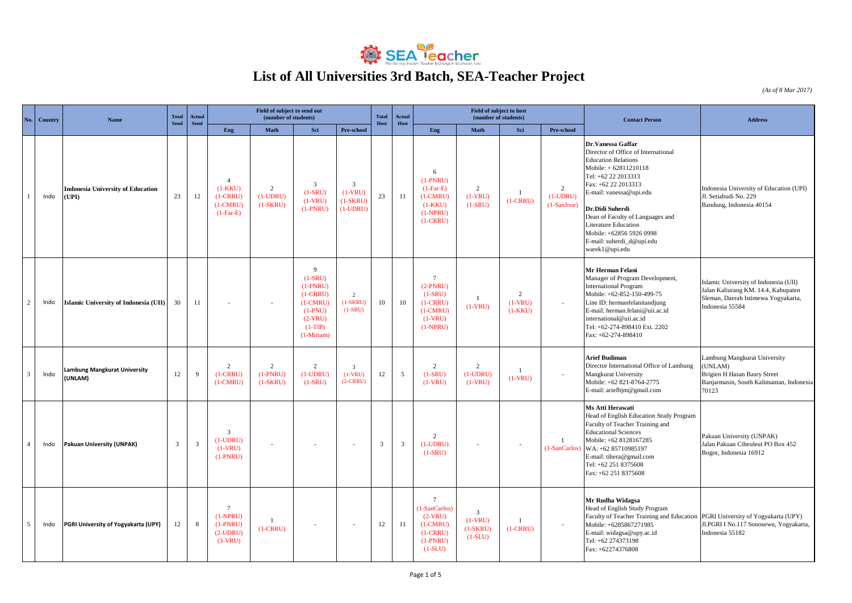

## **List of All Universities 3rd Batch, SEA-Teacher Project**

*(As of 8 Mar 2017)*

|   | <b>Country</b> | Name                                              | <b>Total</b>   | <b>Actual</b>           | Field of subject to send out<br>(number of students)                   |                                            |                                                                                                                            |                                                          |                | Actual       |                                                                                                      | Field of subject to host                               | (number of students)                     |                                             | <b>Contact Person</b>                                                                                                                                                                                                                                                                                                                              | <b>Address</b>                                                                                                                         |
|---|----------------|---------------------------------------------------|----------------|-------------------------|------------------------------------------------------------------------|--------------------------------------------|----------------------------------------------------------------------------------------------------------------------------|----------------------------------------------------------|----------------|--------------|------------------------------------------------------------------------------------------------------|--------------------------------------------------------|------------------------------------------|---------------------------------------------|----------------------------------------------------------------------------------------------------------------------------------------------------------------------------------------------------------------------------------------------------------------------------------------------------------------------------------------------------|----------------------------------------------------------------------------------------------------------------------------------------|
|   |                |                                                   | <b>Send</b>    | <b>Send</b>             | Eng                                                                    | Math                                       | Sci                                                                                                                        | Pre-school                                               | Host           | Host         | Eng                                                                                                  | Math                                                   | Sci                                      | Pre-school                                  |                                                                                                                                                                                                                                                                                                                                                    |                                                                                                                                        |
|   | Indo           | <b>Indonesia University of Education</b><br>(UPI) | 23             | 12                      | $\overline{A}$<br>$(1-KKU)$<br>$(1-CRRU)$<br>$(1-CMRU)$<br>$(1-Far-E)$ | $\overline{2}$<br>$(1-UDRU)$<br>$(1-SKRU)$ | $\mathfrak{Z}$<br>$(1-SRU)$<br>$(1-VRU)$<br>$(1-PNRU)$                                                                     | $\overline{3}$<br>$(1-VRU)$<br>$(1-SKRU)$<br>$(1$ -UDRU) | 23             | 11           | 6<br>$(1-PNRU)$<br>$(1-Far-E)$<br>$(1-CMRU)$<br>$(1-KKU)$<br>$(1-NPRU)$<br>$(1-CRRU)$                | 2<br>$(1-VRU)$<br>$(1-SRU)$                            | $\mathbf{1}$<br>$(1-CRRU)$               | $\overline{2}$<br>$(1-UDRU)$<br>(1-SanJose) | Dr.Vanessa Gaffar<br>Director of Office of International<br><b>Education Relations</b><br>Mobile: + 62811210118<br>Tel: +62 22 2013313<br>Fax: +62 22 2013313<br>E-mail: vanessa@upi.edu<br>Dr.Didi Suherdi<br>Dean of Faculty of Languages and<br>Literature Education<br>Mobile: +62856 5926 0998<br>E-mail: suherdi_d@upi.edu<br>warek1@upi.edu | Indonesia University of Education (UPI)<br>Jl. Setiabudi No. 229<br>Bandung, Indonesia 40154                                           |
|   | Indo           | Islamic University of Indonesia (UII)             | 30             | 11                      | $\overline{\phantom{a}}$                                               | $\overline{\phantom{a}}$                   | $\mathbf{Q}$<br>$(1-SRU)$<br>$(1-PNRU)$<br>$(1-CRRU)$<br>$(1-CMRU)$<br>$(1-PNU)$<br>$(2-VRU)$<br>$(1-TIP)$<br>$(1-Miriam)$ | $\overline{2}$<br>$(1-SKRU)$<br>$(1-SRU)$                | 10             | 10           | $7\phantom{.0}$<br>$(2-PNRU)$<br>$(1-SRU)$<br>$(1-CRRU)$<br>$(1-CMRU)$<br>$(1-VRU)$<br>$(1-NPRU)$    | $\mathbf{1}$<br>$(1-VRU)$                              | $\overline{2}$<br>$(1-VRU)$<br>$(1-KKU)$ | $\sim$                                      | Mr Herman Felani<br>Manager of Program Development,<br><b>International Program</b><br>Mobile: +62-852-150-499-75<br>Line ID: hermanfelanitandjung<br>E-mail: herman.felani@uii.ac.id<br>international@uii.ac.id<br>Tel: +62-274-898410 Ext. 2202<br>Fax: +62-274-898410                                                                           | Islamic University of Indonesia (UII)<br>Jalan Kaliurang KM. 14.4, Kabupaten<br>Sleman, Daerah Istimewa Yogyakarta,<br>Indonesia 55584 |
|   | Indo           | Lambung Mangkurat University<br>(UNLAM)           | 12             | 9                       | 2<br>$(1-CRRU)$<br>$(1-CMRU)$                                          | 2<br>$(1-PNRU)$<br>$(1-SKRU)$              | $\overline{2}$<br>$(1-UDRU)$<br>$(1-SRU)$                                                                                  | $\overline{\mathbf{3}}$<br>$(1-VRU)$<br>$(2-CRRU)$       | 12             | 5            | 2<br>$(1-SRU)$<br>$(1-VRU)$                                                                          | $\overline{c}$<br>$(1$ -UDRU)<br>$(1-VRU)$             | $\overline{1}$<br>$(1-VRU)$              |                                             | <b>Arief Budiman</b><br>Director International Office of Lambung<br>Mangkurat University<br>Mobile: +62 821-8764-2775<br>E-mail: ariefbjm@gmail.com                                                                                                                                                                                                | Lambung Mangkurat University<br>(UNLAM)<br>Brigien H Hasan Basry Street<br>Banjarmasin, South Kalimantan, Indonesia<br>70123           |
|   | Indo           | Pakuan University (UNPAK)                         | $\overline{3}$ | $\overline{\mathbf{3}}$ | $\overline{3}$<br>$(1$ -UDRU)<br>$(1-VRU)$<br>$(1-PNRU)$               | $\overline{\phantom{a}}$                   |                                                                                                                            | $\sim$                                                   | $\overline{3}$ | $\mathbf{3}$ | 2<br>$(1-UDRU)$<br>$(1-SRU)$                                                                         | $\sim$                                                 | $\sim$                                   | $\mathbf{1}$<br>(1-SanCarlos)               | Ms Atti Herawati<br>Head of English Education Study Program<br>Faculty of Teacher Training and<br><b>Educational Sciences</b><br>Mobile: +62 8128167285<br>WA: +62 85710985197<br>E-mail: tihera@gmail.com<br>Tel: +62 251 8375608<br>Fax: +62 251 8375608                                                                                         | Pakuan University (UNPAK)<br>Jalan Pakuan Ciheuleut PO Box 452<br>Bogor, Indonesia 16912                                               |
| 5 | Indo           | PGRI University of Yogyakarta (UPY)               | 12             | 8                       | $7\phantom{.0}$<br>$(1-NPRU)$<br>$(1-PNRU)$<br>$(2-UDRU)$<br>$(3-VRU)$ | -1<br>$(1-CRRU)$                           |                                                                                                                            | $\overline{\phantom{a}}$                                 | 12             | 11           | $7\overline{ }$<br>(1-SanCarlos)<br>$(2-VRU)$<br>$(1-CMRU)$<br>$(1-CRRU)$<br>$(1-PNRU)$<br>$(1-SLU)$ | $\overline{3}$<br>$(1-VRU)$<br>$(1-SKRU)$<br>$(1-SLU)$ | $(1-CRRU)$                               |                                             | Mr Rudha Widagsa<br>Head of English Study Program<br>Faculty of Teacher Training and Education PGRI University of Yogyakarta (UPY)<br>Mobile: +6285867271985<br>E-mail: widagsa@upy.ac.id<br>Tel: +62 274373198<br>Fax: +62274376808                                                                                                               | Jl.PGRI I No.117 Sonosewu, Yogyakarta,<br>Indonesia 55182                                                                              |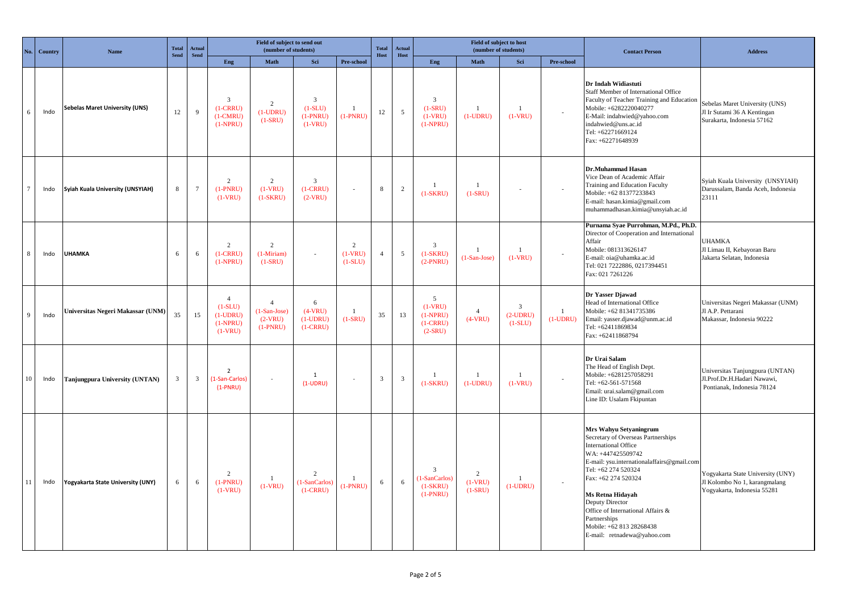| No              | Country | Name                                  | <b>Total</b><br>Send | Actual<br><b>Send</b>   | Field of subject to send out<br>(number of students)                 |                                                             |                                                                 |                                          |                         | Actual<br>Host          |                                                         | Field of subject to host<br>(number of students) |                                          |                             | <b>Contact Person</b>                                                                                                                                                                                                                                                                                                                                               | <b>Address</b>                                                                                    |
|-----------------|---------|---------------------------------------|----------------------|-------------------------|----------------------------------------------------------------------|-------------------------------------------------------------|-----------------------------------------------------------------|------------------------------------------|-------------------------|-------------------------|---------------------------------------------------------|--------------------------------------------------|------------------------------------------|-----------------------------|---------------------------------------------------------------------------------------------------------------------------------------------------------------------------------------------------------------------------------------------------------------------------------------------------------------------------------------------------------------------|---------------------------------------------------------------------------------------------------|
|                 |         |                                       |                      |                         | Eng                                                                  | Math                                                        | Sci                                                             | Pre-school                               | Host                    |                         | Eng                                                     | Math                                             | Sci                                      | Pre-school                  |                                                                                                                                                                                                                                                                                                                                                                     |                                                                                                   |
| 6               | Indo    | <b>Sebelas Maret University (UNS)</b> | 12                   | $\mathbf{Q}$            | 3<br>$(1-CRRU)$<br>$(1-CMRU)$<br>$(1-NPRU)$                          | 2<br>$(1-UDRU)$<br>$(1-SRU)$                                | $\overline{\mathbf{3}}$<br>$(1-SLU)$<br>$(1-PNRU)$<br>$(1-VRU)$ | $\overline{1}$<br>$(1-PNRU)$             | 12                      | $\overline{5}$          | 3<br>$(1-SRU)$<br>$(1-VRU)$<br>$(1-NPRU)$               | $\mathbf{1}$<br>$(1-UDRU)$                       | $\mathbf{1}$<br>$(1-VRU)$                |                             | Dr Indah Widiastuti<br>Staff Member of International Office<br>Faculty of Teacher Training and Education<br>Mobile: +6282220040277<br>E-Mail: indahwied@yahoo.com<br>indahwied@uns.ac.id<br>Tel: +62271669124<br>Fax: +62271648939                                                                                                                                  | Sebelas Maret University (UNS)<br>Jl Ir Sutami 36 A Kentingan<br>Surakarta, Indonesia 57162       |
| $7\phantom{.0}$ | Indo    | Syiah Kuala University (UNSYIAH)      | $\,8\,$              | $7\phantom{.0}$         | $\overline{2}$<br>$(1-PNRU)$<br>$(1-VRU)$                            | 2<br>$(1-VRU)$<br>$(1-SKRU)$                                | 3<br>$(1-CRRU)$<br>$(2-VRU)$                                    | $\overline{\phantom{a}}$                 | 8                       | 2                       | $\overline{1}$<br>$(1-SKRU)$                            | $\overline{1}$<br>$(1-SRU)$                      |                                          |                             | Dr.Muhammad Hasan<br>Vice Dean of Academic Affair<br>Training and Education Faculty<br>Mobile: +62 81377233843<br>E-mail: hasan.kimia@gmail.com<br>muhammadhasan.kimia@unsyiah.ac.id                                                                                                                                                                                | Syiah Kuala University (UNSYIAH)<br>Darussalam, Banda Aceh, Indonesia<br>23111                    |
| 8               | Indo    | <b>UHAMKA</b>                         | 6                    | 6                       | 2<br>$(1-CRRU)$<br>$(1-NPRU)$                                        | $\overline{c}$<br>$(1-Miriam)$<br>$(1-SRU)$                 |                                                                 | $\overline{2}$<br>$(1-VRU)$<br>$(1-SLU)$ | $\overline{4}$          | 5                       | 3<br>$(1-SKRU)$<br>$(2-PNRU)$                           | $(1-San-Jose)$                                   | $\mathbf{1}$<br>$(1-VRU)$                |                             | Purnama Syae Purrohman, M.Pd., Ph.D.<br>Director of Cooperation and International<br>Affair<br>Mobile: 081313626147<br>E-mail: oia@uhamka.ac.id<br>Tel: 021 7222886, 0217394451<br>Fax: 021 7261226                                                                                                                                                                 | <b>UHAMKA</b><br>Jl Limau II, Kebayoran Baru<br>Jakarta Selatan, Indonesia                        |
| 9               | Indo    | Universitas Negeri Makassar (UNM)     | 35                   | 15                      | $\overline{4}$<br>$(1-SLU)$<br>$(1-UDRU)$<br>$(1-NPRU)$<br>$(1-VRU)$ | $\overline{4}$<br>$(1-San-Jose)$<br>$(2-VRU)$<br>$(1-PNRU)$ | 6<br>$(4-VRU)$<br>$(1-UDRU)$<br>$(1-CRRU)$                      | $(1-SRU)$                                | 35                      | 13                      | 5<br>$(1-VRU)$<br>$(1-NPRU)$<br>$(1-CRRU)$<br>$(2-SRU)$ | $\overline{4}$<br>$(4-VRU)$                      | $\mathbf{3}$<br>$(2$ -UDRU)<br>$(1-SLU)$ | $\mathbf{1}$<br>$(1$ -UDRU) | Dr Yasser Djawad<br>Head of International Office<br>Mobile: +62 81341735386<br>Email: yasser.djawad@unm.ac.id<br>Tel: +62411869834<br>Fax: +62411868794                                                                                                                                                                                                             | Universitas Negeri Makassar (UNM)<br>Jl A.P. Pettarani<br>Makassar, Indonesia 90222               |
| 10              | Indo    | Tanjungpura University (UNTAN)        | $\overline{3}$       | $\overline{\mathbf{3}}$ | $\overline{2}$<br>(1-San-Carlos)<br>$(1-PNRU)$                       |                                                             | 1<br>$(1-UDRU)$                                                 | ÷.                                       | $\overline{\mathbf{3}}$ | $\overline{\mathbf{3}}$ | -1<br>$(1-SKRU)$                                        | $\overline{1}$<br>$(1-UDRU)$                     | -1<br>$(1-VRU)$                          |                             | Dr Urai Salam<br>The Head of English Dept.<br>Mobile: +6281257058291<br>Tel: +62-561-571568<br>Email: urai.salam@gmail.com<br>Line ID: Usalam Fkipuntan                                                                                                                                                                                                             | Universitas Tanjungpura (UNTAN)<br>Jl.Prof.Dr.H.Hadari Nawawi,<br>Pontianak, Indonesia 78124      |
| 11              | Indo    | Yogyakarta State University (UNY)     | 6                    | 6                       | $\overline{c}$<br>$(1-PNRU)$<br>$(1-VRU)$                            | -1<br>$(1-VRU)$                                             | 2<br>(1-SanCarlos)<br>$(1-CRRU)$                                | $\mathbf{1}$<br>$(1-PNRU)$               | 6                       | 6                       | 3<br>(1-SanCarlos)<br>$(1-SKRU)$<br>$(1-PNRU)$          | $\overline{c}$<br>$(1-VRU)$<br>$(1-SRU)$         | 1<br>$(1-UDRU)$                          |                             | Mrs Wahyu Setyaningrum<br>Secretary of Overseas Partnerships<br><b>International Office</b><br>WA: +447425509742<br>E-mail: ysu.internationalaffairs@gmail.com<br>Tel: +62 274 520324<br>Fax: +62 274 520324<br>Ms Retna Hidayah<br>Deputy Director<br>Office of International Affairs &<br>Partnerships<br>Mobile: +62 813 28268438<br>E-mail: retnadewa@yahoo.com | Yogyakarta State University (UNY)<br>Jl Kolombo No 1, karangmalang<br>Yogyakarta, Indonesia 55281 |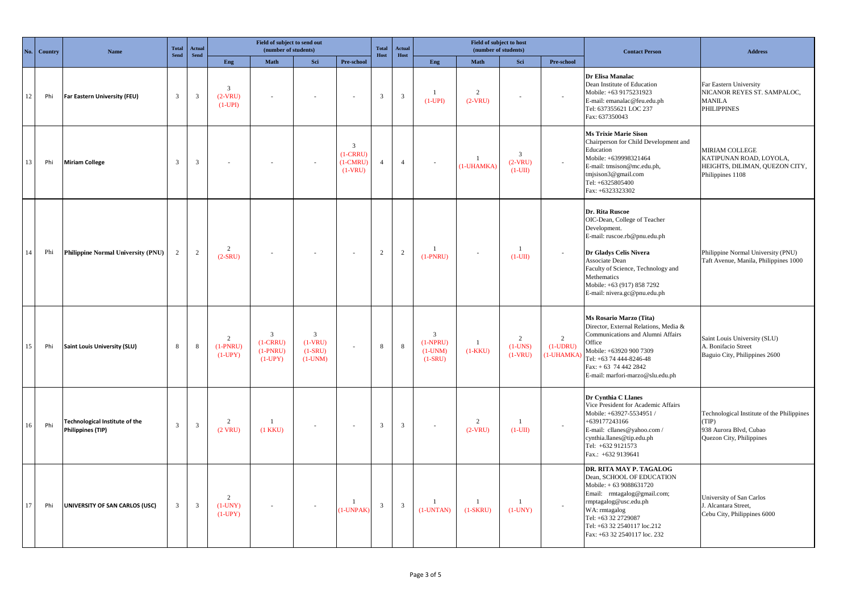| No     | Country | Total<br><b>Actual</b><br><b>Name</b><br><b>Send</b><br><b>Send</b> |                         | Field of subject to send out<br>(number of students) |                                           | Total<br>Host                                           | <b>Actual</b><br>Host                                 |                                                         | Field of subject to host<br>(number of students) |                         |                                                        | <b>Contact Person</b>       | <b>Address</b>                           |                                             |                                                                                                                                                                                                                                                                |                                                                                                           |
|--------|---------|---------------------------------------------------------------------|-------------------------|------------------------------------------------------|-------------------------------------------|---------------------------------------------------------|-------------------------------------------------------|---------------------------------------------------------|--------------------------------------------------|-------------------------|--------------------------------------------------------|-----------------------------|------------------------------------------|---------------------------------------------|----------------------------------------------------------------------------------------------------------------------------------------------------------------------------------------------------------------------------------------------------------------|-----------------------------------------------------------------------------------------------------------|
|        |         |                                                                     |                         |                                                      | Eng                                       | Math                                                    | Sci                                                   | Pre-school                                              |                                                  |                         | Eng                                                    | Math                        | Sci                                      | Pre-school                                  |                                                                                                                                                                                                                                                                |                                                                                                           |
| $12\,$ | Phi     | Far Eastern University (FEU)                                        | $\overline{\mathbf{3}}$ | $\overline{\mathbf{3}}$                              | $\mathbf{3}$<br>$(2-VRU)$<br>$(1-UPI)$    |                                                         |                                                       |                                                         | $\overline{\mathbf{3}}$                          | $\overline{\mathbf{3}}$ | $\mathbf{1}$<br>$(1-UPI)$                              | $\overline{c}$<br>$(2-VRU)$ |                                          | $\overline{\phantom{a}}$                    | Dr Elisa Manalac<br>Dean Institute of Education<br>Mobile: +63 9175231923<br>E-mail: emanalac@feu.edu.ph<br>Tel: 637355621 LOC 237<br>Fax: 637350043                                                                                                           | Far Eastern University<br>NICANOR REYES ST. SAMPALOC,<br><b>MANILA</b><br><b>PHILIPPINES</b>              |
| 13     | Phi     | <b>Miriam College</b>                                               | $\overline{\mathbf{3}}$ | $\overline{3}$                                       |                                           |                                                         |                                                       | $\overline{3}$<br>$(1-CRRU)$<br>$(1-CMRU)$<br>$(1-VRU)$ | $\overline{4}$                                   | $\overline{4}$          |                                                        | $\mathbf{1}$<br>(1-UHAMKA)  | $\overline{3}$<br>$(2-VRU)$<br>$(1-UII)$ | $\overline{\phantom{a}}$                    | <b>Ms Trixie Marie Sison</b><br>Chairperson for Child Development and<br>Education<br>Mobile: +639998321464<br>E-mail: tmsison@mc.edu.ph,<br>tmjsison $3@$ gmail.com<br>Tel: +6325805400<br>Fax: +6323323302                                                   | <b>MIRIAM COLLEGE</b><br>KATIPUNAN ROAD, LOYOLA,<br>HEIGHTS, DILIMAN, QUEZON CITY,<br>Philippines 1108    |
| 14     | Phi     | Philippine Normal University (PNU)                                  | 2                       | $\overline{2}$                                       | 2<br>$(2-SRU)$                            |                                                         | $\sim$                                                | $\sim$                                                  | 2                                                | 2                       | -1<br>$(1-PNRU)$                                       |                             | $\mathbf{1}$<br>$(1-UII)$                |                                             | Dr. Rita Ruscoe<br>OIC-Dean, College of Teacher<br>Development.<br>E-mail: ruscoe.rb@pnu.edu.ph<br>Dr Gladys Celis Nivera<br>Associate Dean<br>Faculty of Science, Technology and<br>Methematics<br>Mobile: +63 (917) 858 7292<br>E-mail: nivera.gc@pnu.edu.ph | Philippine Normal University (PNU)<br>Taft Avenue, Manila, Philippines 1000                               |
| 15     | Phi     | <b>Saint Louis University (SLU)</b>                                 | $\,$ 8 $\,$             | $\,$ 8 $\,$                                          | $\overline{2}$<br>$(1-PNRU)$<br>$(1-UPY)$ | $\overline{3}$<br>$(1-CRRU)$<br>$(1-PNRU)$<br>$(1-UPY)$ | $\overline{3}$<br>$(1-VRU)$<br>$(1-SRU)$<br>$(1-UNM)$ | $\sim$                                                  | 8                                                | $8\phantom{.0}$         | $\overline{3}$<br>$(1-NPRU)$<br>$(1-UNM)$<br>$(1-SRU)$ | $\mathbf{1}$<br>$(1-KKU)$   | $\overline{2}$<br>$(1-UNS)$<br>$(1-VRU)$ | $\overline{2}$<br>$(1$ -UDRU)<br>(1-UHAMKA) | Ms Rosario Marzo (Tita)<br>Director, External Relations, Media &<br>Communications and Alumni Affairs<br>Office<br>Mobile: +63920 900 7309<br>Tel: +63 74 444-8246-48<br>Fax: + 63 74 442 2842<br>E-mail: marfori-marzo@slu.edu.ph                             | Saint Louis University (SLU)<br>A. Bonifacio Street<br>Baguio City, Philippines 2600                      |
| 16     | Phi     | Technological Institute of the<br><b>Philippines (TIP)</b>          | $\overline{3}$          | $\mathbf{3}$                                         | $\overline{2}$<br>$(2$ VRU)               | -1<br>$(1$ KKU)                                         |                                                       | $\sim$                                                  | $\overline{\mathbf{3}}$                          | $\overline{\mathbf{3}}$ | $\sim$                                                 | $\overline{2}$<br>$(2-VRU)$ | -1<br>$(1-UII)$                          |                                             | Dr Cynthia C Llanes<br>Vice President for Academic Affairs<br>Mobile: +63927-5534951 /<br>+639177243166<br>E-mail: cllanes@yahoo.com /<br>cynthia.llanes@tip.edu.ph<br>Tel: +632 9121573<br>Fax.: +632 9139641                                                 | Technological Institute of the Philippines<br>(TIP)<br>938 Aurora Blvd, Cubao<br>Quezon City, Philippines |
| 17     | Phi     | UNIVERSITY OF SAN CARLOS (USC)                                      | $\overline{3}$          | $\overline{3}$                                       | $\overline{2}$<br>$(1-UNY)$<br>$(1-UPY)$  |                                                         | $\sim$                                                | $\mathbf{1}$<br>$(1$ -UNPAK $)$                         | $\overline{\mathbf{3}}$                          | $\overline{3}$          | -1<br>$(1$ -UNTAN $)$                                  | $\mathbf{1}$<br>$(1-SKRU)$  | $\mathbf{1}$<br>$(1-UNY)$                |                                             | DR. RITA MAY P. TAGALOG<br>Dean, SCHOOL OF EDUCATION<br>Mobile: +63 9088631720<br>Email: rmtagalog@gmail.com;<br>rmptagalog@usc.edu.ph<br>WA: rmtagalog<br>Tel: +63 32 2729087<br>Tel: +63 32 2540117 loc.212<br>Fax: +63 32 2540117 loc. 232                  | University of San Carlos<br>J. Alcantara Street,<br>Cebu City, Philippines 6000                           |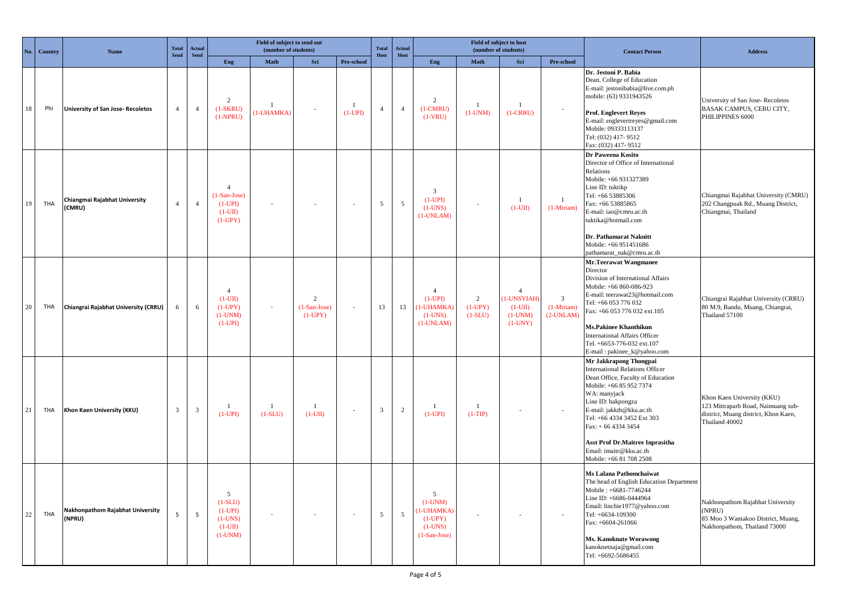| No. | Country    | Name                                       | Field of subject to send out<br><b>Total</b><br>Actual<br>(number of students)<br>Send<br>Send |                         |                                                                         |                            |                                               | <b>Total</b><br>Host      | Actual<br>Host          |                | (number of students)                                                     | Field of subject to host    |                                                                    | <b>Contact Person</b>                             | <b>Address</b>                                                                                                                                                                                                                                                                                                                                           |                                                                                                                            |
|-----|------------|--------------------------------------------|------------------------------------------------------------------------------------------------|-------------------------|-------------------------------------------------------------------------|----------------------------|-----------------------------------------------|---------------------------|-------------------------|----------------|--------------------------------------------------------------------------|-----------------------------|--------------------------------------------------------------------|---------------------------------------------------|----------------------------------------------------------------------------------------------------------------------------------------------------------------------------------------------------------------------------------------------------------------------------------------------------------------------------------------------------------|----------------------------------------------------------------------------------------------------------------------------|
|     |            |                                            |                                                                                                |                         | Eng                                                                     | Math                       | Sci                                           | Pre-school                |                         |                | Eng                                                                      | Math                        | Sci                                                                | Pre-school                                        |                                                                                                                                                                                                                                                                                                                                                          |                                                                                                                            |
| 18  | Phi        | <b>University of San Jose- Recoletos</b>   | $\overline{4}$                                                                                 | $\overline{4}$          | 2<br>$(1-SKRU)$<br>$(1-NPRU)$                                           | $\mathbf{1}$<br>(1-UHAMKA) |                                               | $\mathbf{1}$<br>$(1-UPI)$ | $\overline{4}$          | $\overline{4}$ | 2<br>$(1-CMRU)$<br>$(1-VRU)$                                             | $(1-UNM)$                   | $\overline{1}$<br>$(1-CRRU)$                                       |                                                   | Dr. Jestoni P. Babia<br>Dean, College of Education<br>E-mail: jestonibabia@live.com.ph<br>mobile: (63) 9331943526<br><b>Prof. Englevert Reyes</b><br>E-mail: englevertreyes@gmail.com<br>Mobile: 09333113137<br>Tel: (032) 417-9512<br>Fax: (032) 417-9512                                                                                               | University of San Jose-Recoletos<br>BASAK CAMPUS, CEBU CITY,<br>PHILIPPINES 6000                                           |
| 19  | <b>THA</b> | Chiangmai Rajabhat University<br>(CMRU)    | $\overline{4}$                                                                                 | $\overline{4}$          | $\overline{4}$<br>$(1-San-Jose)$<br>$(1-UPI)$<br>$(1-UII)$<br>$(1-UPY)$ |                            |                                               | $\sim$                    | 5                       | $\overline{5}$ | 3<br>$(1-UPI)$<br>$(1-UNS)$<br>$(1-UNLAM)$                               |                             | -1<br>$(1-UII)$                                                    | -1<br>$(1-Miriam)$                                | Dr Paweena Kosito<br>Director of Office of International<br>Relations<br>Mobile: +66 931327389<br>Line ID: tuktikp<br>Tel: +66 53885306<br>Fax: +66 53885865<br>E-mail: iao@cmru.ac.th<br>tuktika@hotmail.com<br>Dr. Pathamarat Naknitt<br>Mobile: +66 951451686<br>pathamarat_nak@cmru.ac.th                                                            | Chiangmai Rajabhat University (CMRU)<br>202 Changpuak Rd., Muang District,<br>Chiangmai, Thailand                          |
| 20  | THA        | Chiangrai Rajabhat University (CRRU)       | 6                                                                                              | 6                       | $\overline{4}$<br>$(1-UII)$<br>$(1-UPY)$<br>$(1-UNM)$<br>$(1-UPI)$      |                            | $\overline{c}$<br>$(1-San-Jose)$<br>$(1-UPY)$ | ÷.                        | 13                      | 13             | $\overline{A}$<br>$(1-UPI)$<br>1-UHAMKA)<br>$(1-UNS)$<br>$(1$ -UNLAM $)$ | 2<br>$(1-UPY)$<br>$(1-SLU)$ | $\overline{A}$<br>1-UNSYIAH<br>$(1-UII)$<br>$(1-UNM)$<br>$(1-UNY)$ | $\overline{3}$<br>$(1-Miriam)$<br>$(2$ -UNLAM $)$ | <b>Mr.Teerawat Wangmanee</b><br>Director<br>Division of International Affairs<br>Mobile: +66 860-086-923<br>E-mail: teerawat23@hotmail.com<br>Tel: +66 053 776 032<br>Fax: +66 053 776 032 ext.105<br>Ms.Pakinee Khanthikun<br><b>International Affairs Officer</b><br>Tel. +6653-776-032 ext.107<br>E-mail: pakinee_k@yahoo.com                         | Chiangrai Rajabhat University (CRRU)<br>80 M.9, Bandu, Muang, Chiangrai,<br>Thailand 57100                                 |
| 21  | THA        | Khon Kaen University (KKU)                 | 3                                                                                              | $\overline{\mathbf{3}}$ | $\mathbf{1}$<br>$(1-UPI)$                                               | 1<br>$(1-SLU)$             | -1<br>$(1-UII)$                               | $\sim$                    | $\overline{\mathbf{3}}$ | $\overline{2}$ | 1<br>$(1-UPI)$                                                           | -1<br>$(1-TIP)$             | $\overline{\phantom{a}}$                                           |                                                   | Mr Jakkrapong Thongpai<br><b>International Relations Officer</b><br>Dean Office, Faculty of Education<br>Mobile: +66 85 952 7374<br>WA: manyjack<br>Line ID: bakpongza<br>E-mail: jakkth@kku.ac.th<br>Tel: +66 4334 3452 Ext 303<br>Fax: + 66 4334 3454<br><b>Asst Prof Dr. Maitree Inprasitha</b><br>Email: imaitr@kku.ac.th<br>Mobile: +66 81 708 2508 | Khon Kaen University (KKU)<br>123 Mittraparb Road, Naimuang sub-<br>district, Muang district, Khon Kaen,<br>Thailand 40002 |
| 22  | <b>THA</b> | Nakhonpathom Rajabhat University<br>(NPRU) | 5                                                                                              | 5                       | 5<br>$(1-SLU)$<br>$(1-UPI)$<br>$(1-UNS)$<br>$(1-UII)$<br>$(1-UNM)$      | $\sim$                     | $\sim$                                        | $\sim$                    | $\overline{5}$          | $\overline{5}$ | 5<br>$(1-UNM)$<br>1-UHAMKA)<br>$(1-UPY)$<br>$(1-UNS)$<br>$(1-San-Jose)$  | $\sim$                      | $\sim$                                                             |                                                   | Ms Lalana Pathomchaiwat<br>The head of English Education Department<br>Mobile: +6681-7746244<br>Line ID: +6686-0444964<br>Email: linchie1977@yahoo.com<br>Tel: +6634-109300<br>Fax: +6604-261066<br>Ms. Kanoknate Worawong<br>kanoknetnaja@gmail.com<br>Tel: +6692-5686455                                                                               | Nakhonpathom Rajabhat University<br>(NPRU)<br>85 Moo 3 Wantakoo District, Muang,<br>Nakhonpathom, Thailand 73000           |